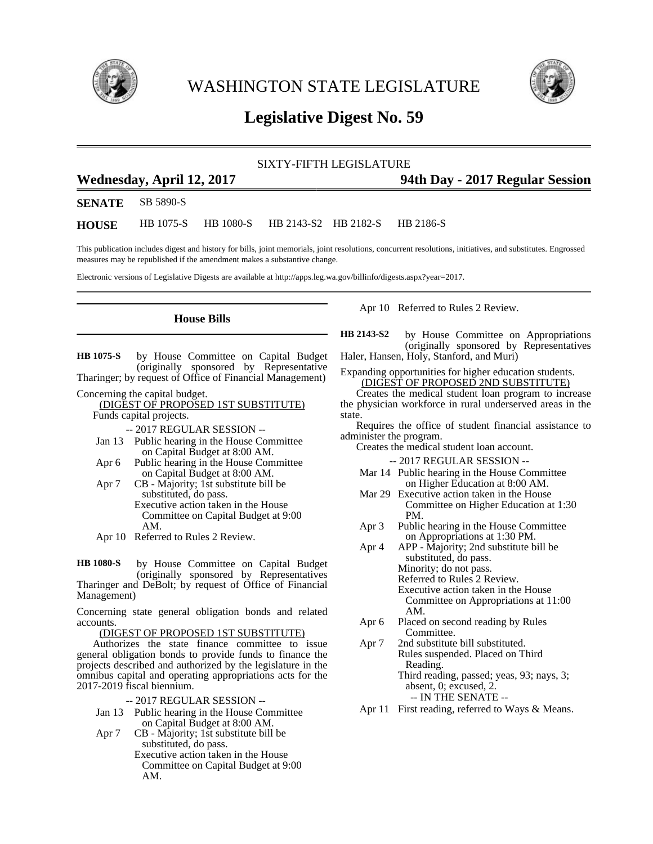

WASHINGTON STATE LEGISLATURE



# **Legislative Digest No. 59**

SIXTY-FIFTH LEGISLATURE

## **Wednesday, April 12, 2017 94th Day - 2017 Regular Session**

**SENATE** SB 5890-S

**HOUSE** HB 1075-S HB 1080-S HB 2143-S2 HB 2182-S HB 2186-S

This publication includes digest and history for bills, joint memorials, joint resolutions, concurrent resolutions, initiatives, and substitutes. Engrossed measures may be republished if the amendment makes a substantive change.

Electronic versions of Legislative Digests are available at http://apps.leg.wa.gov/billinfo/digests.aspx?year=2017.

### **House Bills**

by House Committee on Capital Budget (originally sponsored by Representative Tharinger; by request of Office of Financial Management) **HB 1075-S**

Concerning the capital budget.

(DIGEST OF PROPOSED 1ST SUBSTITUTE) Funds capital projects.

-- 2017 REGULAR SESSION --

- Jan 13 Public hearing in the House Committee on Capital Budget at 8:00 AM.
- Apr 6 Public hearing in the House Committee on Capital Budget at 8:00 AM.
- Apr 7 CB Majority; 1st substitute bill be substituted, do pass. Executive action taken in the House Committee on Capital Budget at 9:00 AM.
- Apr 10 Referred to Rules 2 Review.

by House Committee on Capital Budget (originally sponsored by Representatives Tharinger and DeBolt; by request of Office of Financial Management) **HB 1080-S**

Concerning state general obligation bonds and related accounts.

#### (DIGEST OF PROPOSED 1ST SUBSTITUTE)

Authorizes the state finance committee to issue general obligation bonds to provide funds to finance the projects described and authorized by the legislature in the omnibus capital and operating appropriations acts for the 2017-2019 fiscal biennium.

-- 2017 REGULAR SESSION --

Jan 13 Public hearing in the House Committee on Capital Budget at 8:00 AM.

Apr 7 CB - Majority; 1st substitute bill be substituted, do pass. Executive action taken in the House Committee on Capital Budget at 9:00 AM.

Apr 10 Referred to Rules 2 Review.

by House Committee on Appropriations (originally sponsored by Representatives Haler, Hansen, Holy, Stanford, and Muri) **HB 2143-S2**

Expanding opportunities for higher education students. (DIGEST OF PROPOSED 2ND SUBSTITUTE)

Creates the medical student loan program to increase the physician workforce in rural underserved areas in the state.

Requires the office of student financial assistance to administer the program.

Creates the medical student loan account.

-- 2017 REGULAR SESSION --

- Mar 14 Public hearing in the House Committee on Higher Education at 8:00 AM.
- Mar 29 Executive action taken in the House Committee on Higher Education at 1:30 PM.
- Apr 3 Public hearing in the House Committee on Appropriations at 1:30 PM.
- Apr 4 APP Majority; 2nd substitute bill be substituted, do pass. Minority; do not pass. Referred to Rules 2 Review. Executive action taken in the House Committee on Appropriations at 11:00 AM.
- Apr 6 Placed on second reading by Rules Committee.
- Apr 7 2nd substitute bill substituted. Rules suspended. Placed on Third Reading. Third reading, passed; yeas, 93; nays, 3; absent, 0; excused, 2. -- IN THE SENATE --

Apr 11 First reading, referred to Ways & Means.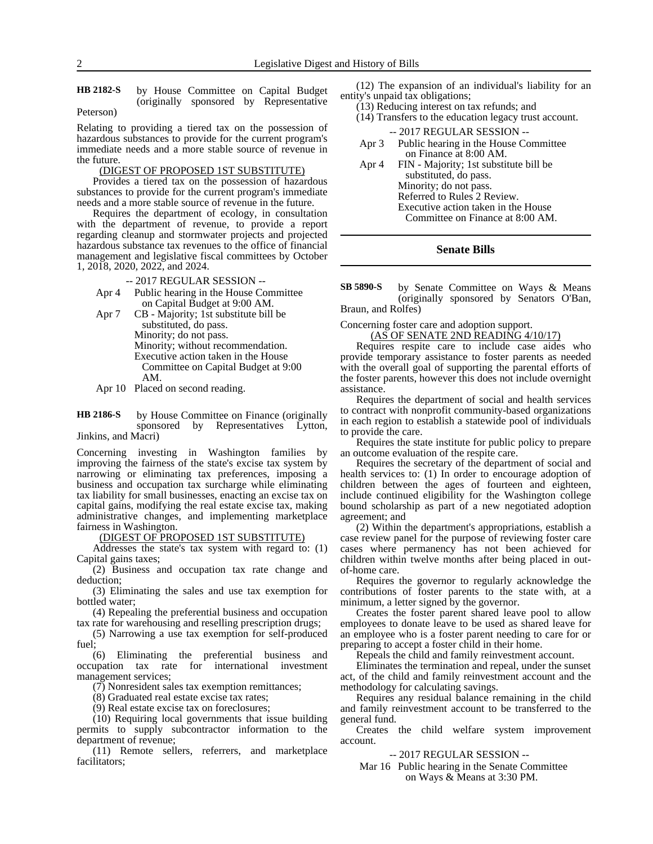#### by House Committee on Capital Budget (originally sponsored by Representative Peterson) **HB 2182-S**

Relating to providing a tiered tax on the possession of hazardous substances to provide for the current program's immediate needs and a more stable source of revenue in the future.

#### (DIGEST OF PROPOSED 1ST SUBSTITUTE)

Provides a tiered tax on the possession of hazardous substances to provide for the current program's immediate needs and a more stable source of revenue in the future.

Requires the department of ecology, in consultation with the department of revenue, to provide a report regarding cleanup and stormwater projects and projected hazardous substance tax revenues to the office of financial management and legislative fiscal committees by October 1, 2018, 2020, 2022, and 2024.

-- 2017 REGULAR SESSION --

- Apr 4 Public hearing in the House Committee on Capital Budget at 9:00 AM.
- Apr 7 CB Majority; 1st substitute bill be substituted, do pass. Minority; do not pass. Minority; without recommendation. Executive action taken in the House Committee on Capital Budget at 9:00 AM.
- Apr 10 Placed on second reading.

by House Committee on Finance (originally sponsored by Representatives Lytton, Jinkins, and Macri) **HB 2186-S**

Concerning investing in Washington families by improving the fairness of the state's excise tax system by narrowing or eliminating tax preferences, imposing a business and occupation tax surcharge while eliminating tax liability for small businesses, enacting an excise tax on capital gains, modifying the real estate excise tax, making administrative changes, and implementing marketplace fairness in Washington.

(DIGEST OF PROPOSED 1ST SUBSTITUTE)

Addresses the state's tax system with regard to: (1) Capital gains taxes;

(2) Business and occupation tax rate change and deduction;

(3) Eliminating the sales and use tax exemption for bottled water;

(4) Repealing the preferential business and occupation tax rate for warehousing and reselling prescription drugs;

(5) Narrowing a use tax exemption for self-produced  $fuel$ 

(6) Eliminating the preferential business and occupation tax rate for international investment management services;

(7) Nonresident sales tax exemption remittances;

(8) Graduated real estate excise tax rates;

(9) Real estate excise tax on foreclosures;

(10) Requiring local governments that issue building permits to supply subcontractor information to the department of revenue;

(11) Remote sellers, referrers, and marketplace facilitators;

(12) The expansion of an individual's liability for an entity's unpaid tax obligations;

- (13) Reducing interest on tax refunds; and (14) Transfers to the education legacy trust account.
	- -- 2017 REGULAR SESSION --
- Apr 3 Public hearing in the House Committee on Finance at 8:00 AM.
- Apr 4 FIN Majority; 1st substitute bill be substituted, do pass. Minority; do not pass. Referred to Rules 2 Review. Executive action taken in the House Committee on Finance at 8:00 AM.

#### **Senate Bills**

by Senate Committee on Ways & Means (originally sponsored by Senators O'Ban, Braun, and Rolfes) **SB 5890-S**

Concerning foster care and adoption support.

(AS OF SENATE 2ND READING 4/10/17)

Requires respite care to include case aides who provide temporary assistance to foster parents as needed with the overall goal of supporting the parental efforts of the foster parents, however this does not include overnight assistance.

Requires the department of social and health services to contract with nonprofit community-based organizations in each region to establish a statewide pool of individuals to provide the care.

Requires the state institute for public policy to prepare an outcome evaluation of the respite care.

Requires the secretary of the department of social and health services to: (1) In order to encourage adoption of children between the ages of fourteen and eighteen, include continued eligibility for the Washington college bound scholarship as part of a new negotiated adoption agreement; and

(2) Within the department's appropriations, establish a case review panel for the purpose of reviewing foster care cases where permanency has not been achieved for children within twelve months after being placed in outof-home care.

Requires the governor to regularly acknowledge the contributions of foster parents to the state with, at a minimum, a letter signed by the governor.

Creates the foster parent shared leave pool to allow employees to donate leave to be used as shared leave for an employee who is a foster parent needing to care for or preparing to accept a foster child in their home.

Repeals the child and family reinvestment account.

Eliminates the termination and repeal, under the sunset act, of the child and family reinvestment account and the methodology for calculating savings.

Requires any residual balance remaining in the child and family reinvestment account to be transferred to the general fund.

Creates the child welfare system improvement account.

-- 2017 REGULAR SESSION --

Mar 16 Public hearing in the Senate Committee on Ways & Means at 3:30 PM.